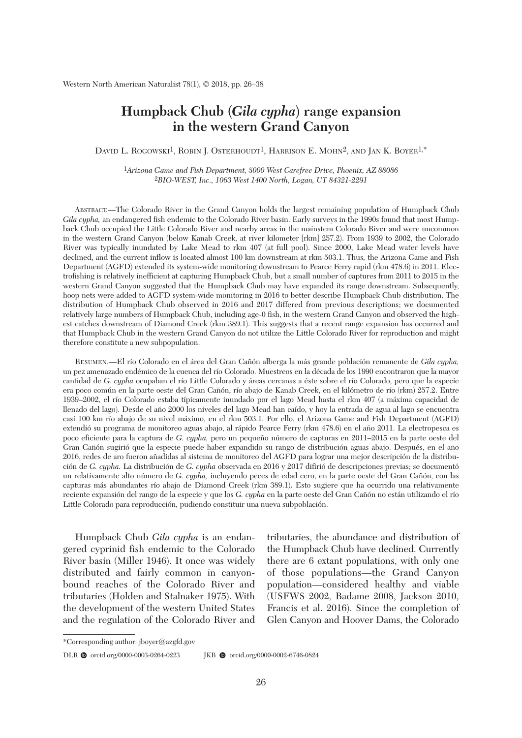# **Humpback Chub (***Gila cypha***) range expansion in the western Grand Canyon**

DAVID L. ROGOWSKI<sup>1</sup>, ROBIN J. OSTERHOUDT<sup>1</sup>, HARRISON E. MOHN<sup>2</sup>, AND JAN K. BOYER<sup>1,\*</sup>

1*Arizona Game and Fish Department, 5000 West Carefree Drive, Phoenix, AZ 88086*  2*BIO-WEST, Inc., 1063 West 1400 North, Logan, UT 84321-2291*

 ABSTRACT.—The Colorado River in the Grand Canyon holds the largest remaining population of Humpback Chub *Gila cupha*, an endangered fish endemic to the Colorado River basin. Early surveys in the 1990s found that most Humpback Chub occupied the Little Colorado River and nearby areas in the mainstem Colorado River and were uncommon in the western Grand Canyon (below Kanab Creek, at river kilometer [rkm] 257.2). From 1939 to 2002, the Colorado River was typically inundated by Lake Mead to rkm 407 (at full pool). Since 2000, Lake Mead water levels have declined, and the current inflow is located almost 100 km downstream at rkm 503.1. Thus, the Arizona Game and Fish Department (AGFD) extended its system-wide monitoring downstream to Pearce Ferry rapid (rkm 478.6) in 2011. Electrofishing is relatively inefficient at capturing Humpback Chub, but a small number of captures from 2011 to 2015 in the western Grand Canyon suggested that the Humpback Chub may have expanded its range downstream. Subsequently, hoop nets were added to AGFD system-wide monitoring in 2016 to better describe Humpback Chub distribution. The distribution of Humpback Chub observed in 2016 and 2017 differed from previous descriptions; we documented relatively large numbers of Humpback Chub, including age-0 fish, in the western Grand Canyon and observed the highest catches downstream of Diamond Creek (rkm 389.1). This suggests that a recent range expansion has occurred and that Humpback Chub in the western Grand Canyon do not utilize the Little Colorado River for reproduction and might therefore constitute a new subpopulation.

 RESUMEN.—El río Colorado en el área del Gran Cañón alberga la más grande población remanente de *Gila cypha,* un pez amenazado endémico de la cuenca del río Colorado. Muestreos en la década de los 1990 encontraron que la mayor cantidad de *G. cypha* ocupaban el río Little Colorado y áreas cercanas a éste sobre el río Colorado, pero que la especie era poco común en la parte oeste del Gran Cañón, río abajo de Kanab Creek, en el kilómetro de río (rkm) 257.2. Entre 1939–2002, el río Colorado estaba típicamente inundado por el lago Mead hasta el rkm 407 (a máxima capacidad de llenado del lago). Desde el año 2000 los niveles del lago Mead han caído, y hoy la entrada de agua al lago se encuentra casi 100 km río abajo de su nivel máximo, en el rkm 503.1. Por ello, el Arizona Game and Fish Department (AGFD) extendió su programa de monitoreo aguas abajo, al rápido Pearce Ferry (rkm 478.6) en el año 2011. La electropesca es poco eficiente para la captura de *G. cypha,* pero un pequeño número de capturas en 2011–2015 en la parte oeste del Gran Cañón sugirió que la especie puede haber expandido su rango de distribución aguas abajo. Después, en el año 2016, redes de aro fueron añadidas al sistema de monitoreo del AGFD para lograr una mejor descripción de la distribución de *G. cypha.* La distribución de *G. cypha* observada en 2016 y 2017 difirió de descripciones previas; se documentó un relativamente alto número de *G. cypha,* incluyendo peces de edad cero, en la parte oeste del Gran Cañón, con las capturas más abundantes río abajo de Diamond Creek (rkm 389.1). Esto sugiere que ha ocurrido una relativamente reciente expansión del rango de la especie y que los *G. cypha* en la parte oeste del Gran Cañón no están utilizando el río Little Colorado para reproducción, pudiendo constituir una nueva subpoblación.

 Humpback Chub *Gila cypha* is an endangered cyprinid fish endemic to the Colorado River basin (Miller 1946). It once was widely distributed and fairly common in canyonbound reaches of the Colorado River and tributaries (Holden and Stalnaker 1975). With the development of the western United States and the regulation of the Colorado River and

tributaries, the abundance and distribution of the Humpback Chub have declined. Currently there are 6 extant populations, with only one of those populations—the Grand Canyon population—considered healthy and viable (USFWS 2002, Badame 2008, Jackson 2010, Francis et al. 2016). Since the completion of Glen Canyon and Hoover Dams, the Colorado

<sup>\*</sup>Corresponding author: jboyer@azgfd.gov

DLR  $\bullet$  orcid.org/0000-0003-0264-0223 JKB  $\bullet$  orcid.org/0000-0002-6746-0824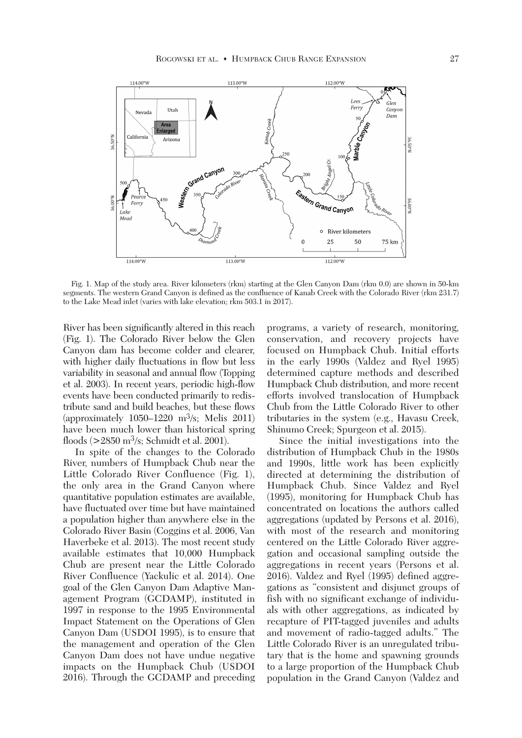

 Fig. 1. Map of the study area. River kilometers (rkm) starting at the Glen Canyon Dam (rkm 0.0) are shown in 50-km segments. The western Grand Canyon is defined as the confluence of Kanab Creek with the Colorado River (rkm 231.7) to the Lake Mead inlet (varies with lake elevation; rkm 503.1 in 2017).

River has been significantly altered in this reach (Fig. 1). The Colorado River below the Glen Canyon dam has become colder and clearer, with higher daily fluctuations in flow but less variability in seasonal and annual flow (Topping et al. 2003). In recent years, periodic high-flow events have been conducted primarily to redistribute sand and build beaches, but these flows (approximately 1050–1220 m3/s; Melis 2011) have been much lower than historical spring floods (>2850 m3/s; Schmidt et al. 2001).

 In spite of the changes to the Colorado River, numbers of Humpback Chub near the Little Colorado River Confluence (Fig. 1), the only area in the Grand Canyon where quantitative population estimates are available, have fluctuated over time but have maintained a population higher than anywhere else in the Colorado River Basin (Coggins et al. 2006, Van Haverbeke et al. 2013). The most recent study available estimates that 10,000 Humpback Chub are present near the Little Colorado River Confluence (Yackulic et al. 2014). One goal of the Glen Canyon Dam Adaptive Management Program (GCDAMP), instituted in 1997 in response to the 1995 Environmental Impact Statement on the Operations of Glen Canyon Dam (USDOI 1995), is to ensure that the management and operation of the Glen Canyon Dam does not have undue negative impacts on the Humpback Chub (USDOI 2016). Through the GCDAMP and preceding programs, a variety of research, monitoring, conservation, and recovery projects have focused on Humpback Chub. Initial efforts in the early 1990s (Valdez and Ryel 1995) determined capture methods and described Humpback Chub distribution, and more recent efforts involved translocation of Humpback Chub from the Little Colorado River to other tributaries in the system (e.g., Havasu Creek, Shinumo Creek; Spurgeon et al. 2015).

 Since the initial investigations into the distribution of Humpback Chub in the 1980s and 1990s, little work has been explicitly directed at determining the distribution of Humpback Chub. Since Valdez and Ryel (1995), monitoring for Humpback Chub has concentrated on locations the authors called aggregations (updated by Persons et al. 2016), with most of the research and monitoring centered on the Little Colorado River aggregation and occasional sampling outside the aggregations in recent years (Persons et al. 2016). Valdez and Ryel (1995) defined aggregations as "consistent and disjunct groups of fish with no significant exchange of individuals with other aggregations, as indicated by recapture of PIT-tagged juveniles and adults and movement of radio-tagged adults." The Little Colorado River is an unregulated tributary that is the home and spawning grounds to a large proportion of the Humpback Chub population in the Grand Canyon (Valdez and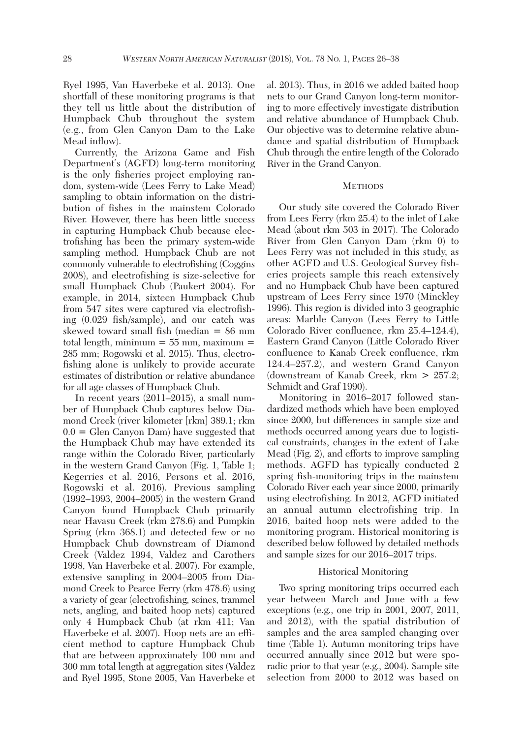Ryel 1995, Van Haverbeke et al. 2013). One shortfall of these monitoring programs is that they tell us little about the distribution of Humpback Chub throughout the system (e.g., from Glen Canyon Dam to the Lake Mead inflow).

 Currently, the Arizona Game and Fish Department's (AGFD) long-term monitoring is the only fisheries project employing random, system-wide (Lees Ferry to Lake Mead) sampling to obtain information on the distribution of fishes in the mainstem Colorado River. However, there has been little success in capturing Humpback Chub because electrofishing has been the primary system-wide sampling method. Humpback Chub are not commonly vulnerable to electrofishing (Coggins 2008), and electrofishing is size-selective for small Humpback Chub (Paukert 2004). For example, in 2014, sixteen Humpback Chub from 547 sites were captured via electrofishing (0.029 fish/sample), and our catch was skewed toward small fish (median = 86 mm total length, minimum  $= 55$  mm, maximum  $=$ 285 mm; Rogowski et al. 2015). Thus, electro fishing alone is unlikely to provide accurate estimates of distribution or relative abundance for all age classes of Humpback Chub.

 In recent years (2011–2015), a small number of Humpback Chub captures below Diamond Creek (river kilometer [rkm] 389.1; rkm  $0.0 =$  Glen Canyon Dam) have suggested that the Humpback Chub may have extended its range within the Colorado River, particularly in the western Grand Canyon (Fig. 1, Table 1; Kegerries et al. 2016, Persons et al. 2016, Rogowski et al. 2016). Previous sampling (1992–1993, 2004–2005) in the western Grand Canyon found Humpback Chub primarily near Havasu Creek (rkm 278.6) and Pumpkin Spring (rkm 368.1) and detected few or no Humpback Chub downstream of Diamond Creek (Valdez 1994, Valdez and Carothers 1998, Van Haverbeke et al. 2007). For example, extensive sampling in 2004–2005 from Diamond Creek to Pearce Ferry (rkm 478.6) using a variety of gear (electrofishing, seines, trammel nets, angling, and baited hoop nets) captured only 4 Humpback Chub (at rkm 411; Van Haverbeke et al. 2007). Hoop nets are an efficient method to capture Humpback Chub that are between approximately 100 mm and 300 mm total length at aggregation sites (Valdez and Ryel 1995, Stone 2005, Van Haverbeke et al. 2013). Thus, in 2016 we added baited hoop nets to our Grand Canyon long-term monitoring to more effectively investigate distribution and relative abundance of Humpback Chub. Our objective was to determine relative abundance and spatial distribution of Humpback Chub through the entire length of the Colorado River in the Grand Canyon.

## **METHODS**

 Our study site covered the Colorado River from Lees Ferry (rkm 25.4) to the inlet of Lake Mead (about rkm 503 in 2017). The Colorado River from Glen Canyon Dam (rkm 0) to Lees Ferry was not included in this study, as other AGFD and U.S. Geological Survey fisheries projects sample this reach extensively and no Humpback Chub have been captured upstream of Lees Ferry since 1970 (Minckley 1996). This region is divided into 3 geographic areas: Marble Canyon (Lees Ferry to Little Colorado River confluence, rkm 25.4–124.4), Eastern Grand Canyon (Little Colorado River confluence to Kanab Creek confluence, rkm 124.4–257.2), and western Grand Canyon (downstream of Kanab Creek, rkm  $> 257.2$ ; Schmidt and Graf 1990).

 Monitoring in 2016–2017 followed standardized methods which have been employed since 2000, but differences in sample size and methods occurred among years due to logistical constraints, changes in the extent of Lake Mead (Fig. 2), and efforts to improve sampling methods. AGFD has typically conducted 2 spring fish-monitoring trips in the mainstem Colorado River each year since 2000, primarily using electrofishing. In 2012, AGFD initiated an annual autumn electrofishing trip. In 2016, baited hoop nets were added to the monitoring program. Historical monitoring is described below followed by detailed methods and sample sizes for our 2016–2017 trips.

# Historical Monitoring

 Two spring monitoring trips occurred each year between March and June with a few exceptions (e.g., one trip in 2001, 2007, 2011, and 2012), with the spatial distribution of samples and the area sampled changing over time (Table 1). Autumn monitoring trips have occurred annually since 2012 but were sporadic prior to that year (e.g., 2004). Sample site selection from 2000 to 2012 was based on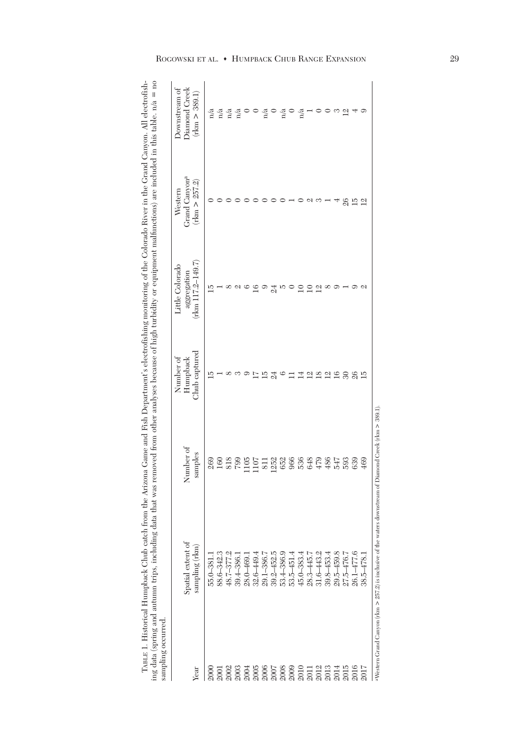TABLE 1. Historical Humpback Chub catch from the Arizona Game and Fish Department's electrofishing monitoring of the Colorado River in the Grand Canyon. All electrofishing data (spring and autumn trips, including data that TABLE 1. Historical Humpback Chub catch from the Arizona Game and Fish Department's electrofishing monitoring of the Colorado River in the Grand Canyon. All electrofishing data (spring and autumn trips, including data that was removed from other analyses because of high turbidity or equipment malfunctions) are included in this table. n/a = no sampling occurred.

| sampling occurred |                                                                                                          |                                                                    |                                          |                                                         |                                                       |                                                 |
|-------------------|----------------------------------------------------------------------------------------------------------|--------------------------------------------------------------------|------------------------------------------|---------------------------------------------------------|-------------------------------------------------------|-------------------------------------------------|
| Year              | Spatial extent of<br>sampling (rkm)                                                                      | Number of<br>samples                                               | $Chub$ captured<br>Number of<br>Humpback | $(rcm 117.2 - 149.7)$<br>Little Colorado<br>aggregation | Grand Canyon <sup>a</sup><br>(rcm > 257.2)<br>Western | Downstream of<br>Diamond Creek<br>(rkm > 389.1) |
| <b>2000</b>       | 55.0-381.1                                                                                               | 269                                                                | īĊ                                       | ГŰ                                                      |                                                       | n/a                                             |
| <b>2001</b>       | 88.6-342.3                                                                                               |                                                                    |                                          |                                                         |                                                       | n/a                                             |
| 2002              | 48.7-377.2                                                                                               |                                                                    |                                          |                                                         |                                                       | $\mathbf{n}/\mathbf{a}$                         |
| 2003              | 39.4-386.1                                                                                               | $\begin{array}{c} 160 \\ 338 \\ 105 \\ 1107 \\ 131 \\ \end{array}$ |                                          |                                                         |                                                       | n/a                                             |
| 2004              | 28.0-469.                                                                                                |                                                                    |                                          |                                                         |                                                       |                                                 |
| $2005$            | $32.6 - 449.4$                                                                                           |                                                                    |                                          |                                                         |                                                       |                                                 |
| 2006              | 29.1-386.7                                                                                               |                                                                    | īō                                       |                                                         |                                                       | n/a                                             |
| 2007              | 39.2-452.5                                                                                               | 1252                                                               | द्व                                      | 24                                                      |                                                       |                                                 |
| 2008              | 53.4-386.9                                                                                               | 652                                                                | ం                                        |                                                         |                                                       | n/a                                             |
| 2009              | $53.5 - 451.4$                                                                                           |                                                                    |                                          |                                                         |                                                       |                                                 |
| 2010              | $45.0 - 383.4$                                                                                           | <b>966</b><br>536<br>648                                           | ₫                                        |                                                         |                                                       | n/a                                             |
| 2011              | 28.3-445.7                                                                                               |                                                                    | $\overline{\omega}$                      |                                                         |                                                       |                                                 |
| 2012              | 31.6-443.2                                                                                               | $479$                                                              | $\overline{8}$                           | $\overline{\omega}$                                     |                                                       |                                                 |
| 2013              | 39.8-453.4                                                                                               | 486                                                                | $\overline{\mathfrak{a}}$                |                                                         |                                                       |                                                 |
| 2014              | 29.5-459.8                                                                                               | 547                                                                | $\overline{6}$                           |                                                         |                                                       |                                                 |
| 2015              | 27.5-476.7                                                                                               | 593                                                                | $\infty$                                 |                                                         | 26                                                    | Μ                                               |
| 2016              | 26.1-477.6                                                                                               | 639                                                                | 26                                       |                                                         | 15                                                    |                                                 |
| 2017              | $38.5 - 478.1$                                                                                           | 469                                                                | 厄                                        |                                                         | ⊴                                                     | ငား                                             |
|                   | aWestern Grand Canyon (rkm > 257.2) is inclusive of the waters downstream of Diamond Creek (rkm > 389.1) |                                                                    |                                          |                                                         |                                                       |                                                 |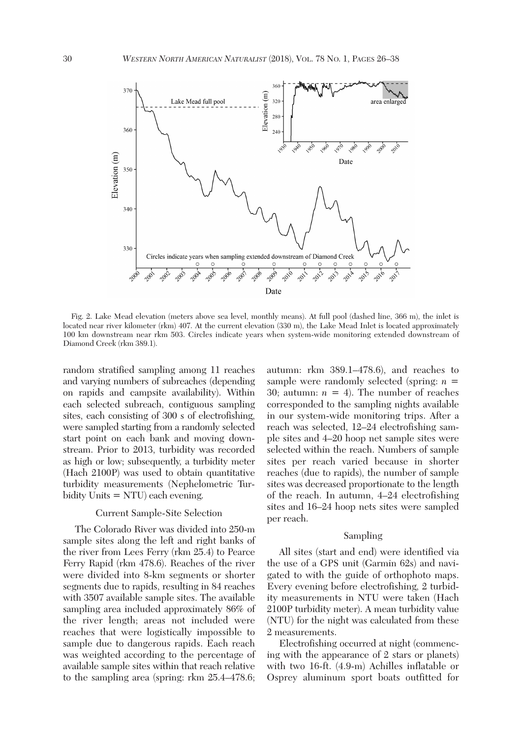

 Fig. 2. Lake Mead elevation (meters above sea level, monthly means). At full pool (dashed line, 366 m), the inlet is located near river kilometer (rkm) 407. At the current elevation (330 m), the Lake Mead Inlet is located approximately 100 km downstream near rkm 503. Circles indicate years when system-wide monitoring extended downstream of Diamond Creek (rkm 389.1).

random stratified sampling among 11 reaches and varying numbers of subreaches (depending on rapids and campsite availability). Within each selected subreach, contiguous sampling sites, each consisting of 300 s of electrofishing, were sampled starting from a randomly selected start point on each bank and moving downstream. Prior to 2013, turbidity was recorded as high or low; subsequently, a turbidity meter (Hach 2100P) was used to obtain quantitative turbidity measurements (Nephelometric Turbidity Units = NTU) each evening.

# Current Sample-Site Selection

 The Colorado River was divided into 250-m sample sites along the left and right banks of the river from Lees Ferry (rkm 25.4) to Pearce Ferry Rapid (rkm 478.6). Reaches of the river were divided into 8-km segments or shorter segments due to rapids, resulting in 84 reaches with 3507 available sample sites. The available sampling area included approximately 86% of the river length; areas not included were reaches that were logistically impossible to sample due to dangerous rapids. Each reach was weighted according to the percentage of available sample sites within that reach relative to the sampling area (spring: rkm 25.4–478.6; autumn: rkm 389.1–478.6), and reaches to sample were randomly selected (spring: *n* = 30; autumn:  $n = 4$ ). The number of reaches corresponded to the sampling nights available in our system-wide monitoring trips. After a reach was selected, 12–24 electrofishing sample sites and 4–20 hoop net sample sites were selected within the reach. Numbers of sample sites per reach varied because in shorter reaches (due to rapids), the number of sample sites was decreased proportionate to the length of the reach. In autumn, 4–24 electrofishing sites and 16–24 hoop nets sites were sampled per reach.

#### Sampling

 All sites (start and end) were identified via the use of a GPS unit (Garmin 62s) and navigated to with the guide of orthophoto maps. Every evening before electrofishing, 2 turbidity measurements in NTU were taken (Hach 2100P turbidity meter). A mean turbidity value (NTU) for the night was calculated from these 2 measurements.

 Electrofishing occurred at night (commencing with the appearance of 2 stars or planets) with two 16-ft. (4.9-m) Achilles inflatable or Osprey aluminum sport boats outfitted for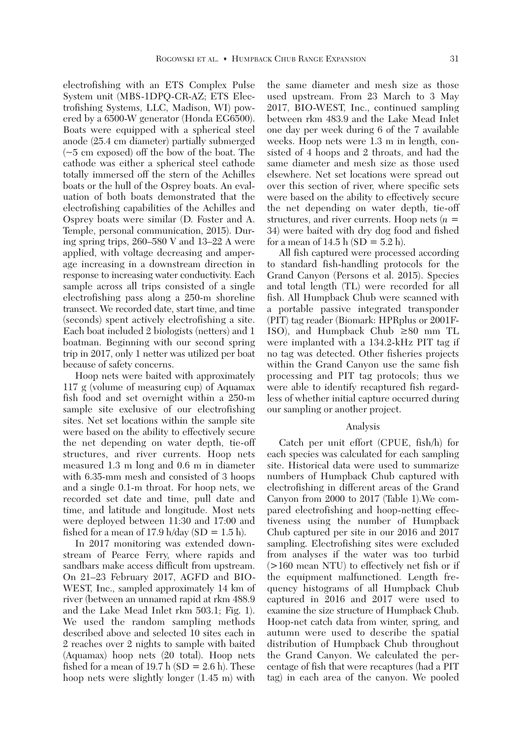electrofishing with an ETS Complex Pulse System unit (MBS-1DPQ-CR-AZ; ETS Electrofishing Systems, LLC, Madison, WI) powered by a 6500-W generator (Honda EG6500). Boats were equipped with a spherical steel anode (25.4 cm diameter) partially submerged (~5 cm exposed) off the bow of the boat. The cathode was either a spherical steel cathode totally immersed off the stern of the Achilles boats or the hull of the Osprey boats. An evaluation of both boats demonstrated that the electrofishing capabilities of the Achilles and Osprey boats were similar (D. Foster and A. Temple, personal communication, 2015). During spring trips, 260–580 V and 13–22 A were applied, with voltage decreasing and amperage increasing in a downstream direction in response to increasing water conductivity. Each sample across all trips consisted of a single electrofishing pass along a 250-m shoreline transect. We recorded date, start time, and time (seconds) spent actively electrofishing a site. Each boat included 2 biologists (netters) and 1 boatman. Beginning with our second spring trip in 2017, only 1 netter was utilized per boat because of safety concerns.

 Hoop nets were baited with approximately 117 g (volume of measuring cup) of Aquamax fish food and set overnight within a 250-m sample site exclusive of our electrofishing sites. Net set locations within the sample site were based on the ability to effectively secure the net depending on water depth, tie-off structures, and river currents. Hoop nets measured 1.3 m long and 0.6 m in diameter with 6.35-mm mesh and consisted of 3 hoops and a single 0.1-m throat. For hoop nets, we recorded set date and time, pull date and time, and latitude and longitude. Most nets were deployed between 11:30 and 17:00 and fished for a mean of 17.9 h/day  $(SD = 1.5 h)$ .

 In 2017 monitoring was extended downstream of Pearce Ferry, where rapids and sandbars make access difficult from upstream. On 21–23 February 2017, AGFD and BIO-WEST, Inc., sampled approximately 14 km of river (between an unnamed rapid at rkm 488.9 and the Lake Mead Inlet rkm 503.1; Fig. 1). We used the random sampling methods described above and selected 10 sites each in 2 reaches over 2 nights to sample with baited (Aquamax) hoop nets (20 total). Hoop nets fished for a mean of 19.7 h  $(SD = 2.6$  h). These hoop nets were slightly longer (1.45 m) with

the same diameter and mesh size as those used upstream. From 23 March to 3 May 2017, BIO-WEST, Inc., continued sampling between rkm 483.9 and the Lake Mead Inlet one day per week during 6 of the 7 available weeks. Hoop nets were 1.3 m in length, consisted of 4 hoops and 2 throats, and had the same diameter and mesh size as those used elsewhere. Net set locations were spread out over this section of river, where specific sets were based on the ability to effectively secure the net depending on water depth, tie-off structures, and river currents. Hoop nets (*n* = 34) were baited with dry dog food and fished for a mean of  $14.5$  h (SD =  $5.2$  h).

 All fish captured were processed according to standard fish-handling protocols for the Grand Canyon (Persons et al. 2015). Species and total length (TL) were recorded for all fish. All Humpback Chub were scanned with a portable passive integrated transponder (PIT) tag reader (Biomark: HPRplus or 2001F-ISO), and Humpback Chub **≥**80 mm TL were implanted with a 134.2-kHz PIT tag if no tag was detected. Other fisheries projects within the Grand Canyon use the same fish processing and PIT tag protocols; thus we were able to identify recaptured fish regardless of whether initial capture occurred during our sampling or another project.

## Analysis

 Catch per unit effort (CPUE, fish/h) for each species was calculated for each sampling site. Historical data were used to summarize numbers of Humpback Chub captured with electrofishing in different areas of the Grand Canyon from 2000 to 2017 (Table 1).We compared electrofishing and hoop-netting effectiveness using the number of Humpback Chub captured per site in our 2016 and 2017 sampling. Electrofishing sites were excluded from analyses if the water was too turbid (>160 mean NTU) to effectively net fish or if the equipment malfunctioned. Length frequency histograms of all Humpback Chub captured in 2016 and 2017 were used to examine the size structure of Humpback Chub. Hoop-net catch data from winter, spring, and autumn were used to describe the spatial distribution of Humpback Chub throughout the Grand Canyon. We calculated the percentage of fish that were recaptures (had a PIT tag) in each area of the canyon. We pooled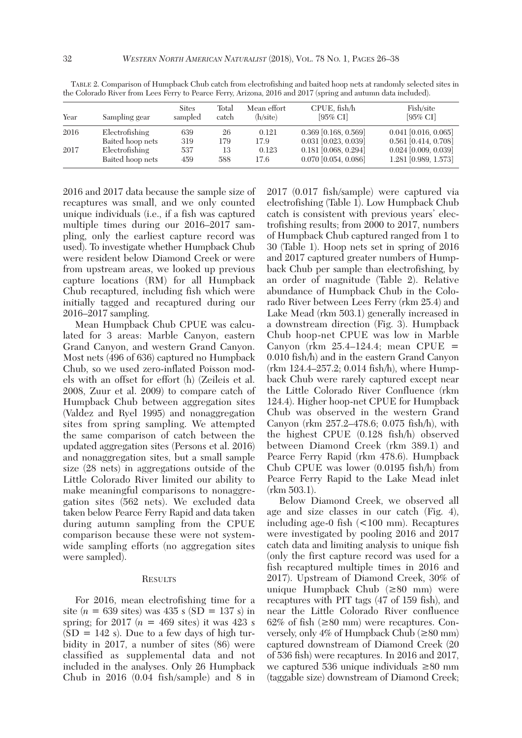| Year | Sampling gear    | <b>Sites</b><br>sampled | Total<br>catch | Mean effort<br>(h/site) | $CPUE$ , fish/h<br>$[95\%$ CI] | Fish/site<br>$[95\%$ CI |
|------|------------------|-------------------------|----------------|-------------------------|--------------------------------|-------------------------|
| 2016 | Electrofishing   | 639                     | 26             | 0.121                   | $0.369$ [0.168, 0.569]         | $0.041$ [0.016, 0.065]  |
|      | Baited hoop nets | 319                     | 179            | 17.9                    | $0.031$ [0.023, 0.039]         | $0.561$ [0.414, 0.708]  |
| 2017 | Electrofishing   | 537                     | 13             | 0.123                   | $0.181$ [0.068, 0.294]         | $0.024$ [0.009, 0.039]  |
|      | Baited hoop nets | 459                     | 588            | 17.6                    | $0.070$ [0.054, 0.086]         | 1.281 [0.989, 1.573]    |

 TABLE 2. Comparison of Humpback Chub catch from electrofishing and baited hoop nets at randomly selected sites in the Colorado River from Lees Ferry to Pearce Ferry, Arizona, 2016 and 2017 (spring and autumn data included).

2016 and 2017 data because the sample size of recaptures was small, and we only counted unique individuals (i.e., if a fish was captured multiple times during our 2016–2017 sampling, only the earliest capture record was used). To investigate whether Humpback Chub were resident below Diamond Creek or were from upstream areas, we looked up previous capture locations (RM) for all Humpback Chub recaptured, including fish which were initially tagged and recaptured during our 2016–2017 sampling.

 Mean Humpback Chub CPUE was calculated for 3 areas: Marble Canyon, eastern Grand Canyon, and western Grand Canyon. Most nets (496 of 636) captured no Humpback Chub, so we used zero-inflated Poisson models with an offset for effort (h) (Zeileis et al. 2008, Zuur et al. 2009) to compare catch of Humpback Chub between aggregation sites (Valdez and Ryel 1995) and nonaggregation sites from spring sampling. We attempted the same comparison of catch between the updated aggregation sites (Persons et al. 2016) and nonaggregation sites, but a small sample size (28 nets) in aggregations outside of the Little Colorado River limited our ability to make meaningful comparisons to nonaggregation sites (562 nets). We excluded data taken below Pearce Ferry Rapid and data taken during autumn sampling from the CPUE comparison because these were not systemwide sampling efforts (no aggregation sites were sampled).

#### **RESULTS**

 For 2016, mean electrofishing time for a site  $(n = 639 \text{ sites})$  was 435 s (SD = 137 s) in spring; for  $2017(n = 469$  sites) it was  $423$  s  $(SD = 142 s)$ . Due to a few days of high turbidity in 2017, a number of sites (86) were classified as supplemental data and not included in the analyses. Only 26 Humpback Chub in 2016 (0.04 fish/sample) and 8 in 2017 (0.017 fish/sample) were captured via electrofishing (Table 1). Low Humpback Chub catch is consistent with previous years' electrofishing results; from 2000 to 2017, numbers of Humpback Chub captured ranged from 1 to 30 (Table 1). Hoop nets set in spring of 2016 and 2017 captured greater numbers of Humpback Chub per sample than electrofishing, by an order of magnitude (Table 2). Relative abundance of Humpback Chub in the Colorado River between Lees Ferry (rkm 25.4) and Lake Mead (rkm 503.1) generally increased in a downstream direction (Fig. 3). Humpback Chub hoop-net CPUE was low in Marble Canyon (rkm  $25.4$ –124.4; mean CPUE = 0.010 fish/h) and in the eastern Grand Canyon (rkm 124.4–257.2; 0.014 fish/h), where Humpback Chub were rarely captured except near the Little Colorado River Confluence (rkm 124.4). Higher hoop-net CPUE for Humpback Chub was observed in the western Grand Canyon (rkm 257.2–478.6; 0.075 fish/h), with the highest CPUE (0.128 fish/h) observed between Diamond Creek (rkm 389.1) and Pearce Ferry Rapid (rkm 478.6). Humpback Chub CPUE was lower (0.0195 fish/h) from Pearce Ferry Rapid to the Lake Mead inlet (rkm 503.1).

 Below Diamond Creek, we observed all age and size classes in our catch (Fig. 4), including age-0 fish (<100 mm). Recaptures were investigated by pooling 2016 and 2017 catch data and limiting analysis to unique fish (only the first capture record was used for a fish recaptured multiple times in 2016 and 2017). Upstream of Diamond Creek, 30% of unique Humpback Chub (**≥**80 mm) were recaptures with PIT tags (47 of 159 fish), and near the Little Colorado River confluence 62% of fish (**≥**80 mm) were recaptures. Conversely, only 4% of Humpback Chub (**≥**80 mm) captured downstream of Diamond Creek (20 of 536 fish) were recaptures. In 2016 and 2017, we captured 536 unique individuals **≥**80 mm (taggable size) downstream of Diamond Creek;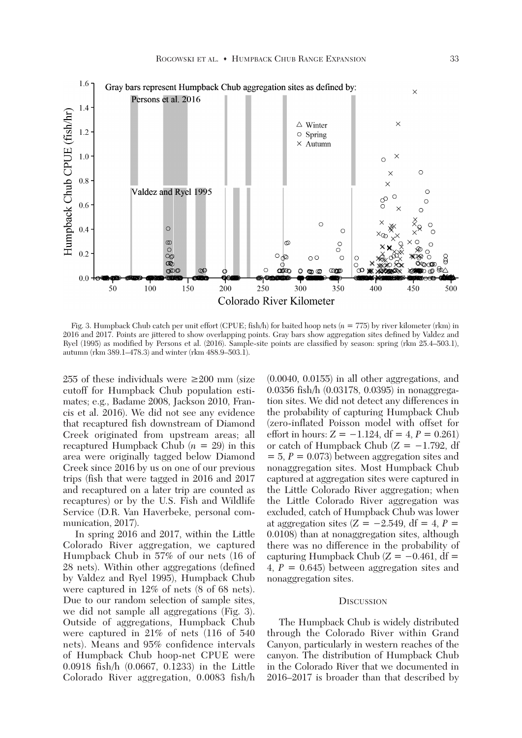

 Fig. 3. Humpback Chub catch per unit effort (CPUE; fish/h) for baited hoop nets (*n* = 775) by river kilometer (rkm) in 2016 and 2017. Points are jittered to show overlapping points. Gray bars show aggregation sites defined by Valdez and Ryel (1995) as modified by Persons et al. (2016). Sample-site points are classified by season: spring (rkm 25.4–503.1), autumn (rkm 389.1–478.3) and winter (rkm 488.9–503.1).

255 of these individuals were **≥**200 mm (size cutoff for Humpback Chub population estimates; e.g., Badame 2008, Jackson 2010, Francis et al. 2016). We did not see any evidence that recaptured fish downstream of Diamond Creek originated from upstream areas; all recaptured Humpback Chub (*n* = 29) in this area were originally tagged below Diamond Creek since 2016 by us on one of our previous trips (fish that were tagged in 2016 and 2017 and recaptured on a later trip are counted as recaptures) or by the U.S. Fish and Wildlife Service (D.R. Van Haverbeke, personal communication, 2017).

 In spring 2016 and 2017, within the Little Colorado River aggregation, we captured Humpback Chub in 57% of our nets (16 of 28 nets). Within other aggregations (defined by Valdez and Ryel 1995), Humpback Chub were captured in 12% of nets (8 of 68 nets). Due to our random selection of sample sites, we did not sample all aggregations (Fig. 3). Outside of aggregations, Humpback Chub were captured in 21% of nets (116 of 540 nets). Means and 95% confidence intervals of Humpback Chub hoop-net CPUE were 0.0918 fish/h (0.0667, 0.1233) in the Little Colorado River aggregation, 0.0083 fish/h (0.0040, 0.0155) in all other aggregations, and 0.0356 fish/h (0.03178, 0.0395) in nonaggregation sites. We did not detect any differences in the probability of capturing Humpback Chub (zero-inflated Poisson model with offset for effort in hours:  $Z = -1.124$ , df = 4,  $P = 0.261$ ) or catch of Humpback Chub  $(Z = -1.792, df)$  $= 5, P = 0.073$  between aggregation sites and nonaggregation sites. Most Humpback Chub captured at aggregation sites were captured in the Little Colorado River aggregation; when the Little Colorado River aggregation was excluded, catch of Humpback Chub was lower at aggregation sites  $(Z = -2.549, df = 4, P =$ 0.0108) than at nonaggregation sites, although there was no difference in the probability of capturing Humpback Chub  $(Z = -0.461, df =$ 4,  $P = 0.645$ ) between aggregation sites and nonaggregation sites.

#### **DISCUSSION**

 The Humpback Chub is widely distributed through the Colorado River within Grand Canyon, particularly in western reaches of the canyon. The distribution of Humpback Chub in the Colorado River that we documented in 2016–2017 is broader than that described by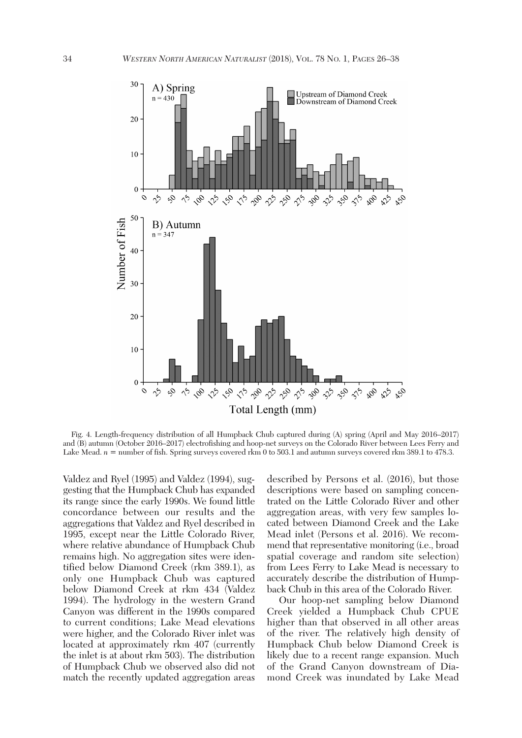

 Fig. 4. Length-frequency distribution of all Humpback Chub captured during (A) spring (April and May 2016–2017) and (B) autumn (October 2016–2017) electrofishing and hoop-net surveys on the Colorado River between Lees Ferry and Lake Mead. *n* = number of fish. Spring surveys covered rkm 0 to 503.1 and autumn surveys covered rkm 389.1 to 478.3.

Valdez and Ryel (1995) and Valdez (1994), suggesting that the Humpback Chub has expanded its range since the early 1990s. We found little concordance between our results and the aggregations that Valdez and Ryel described in 1995, except near the Little Colorado River, where relative abundance of Humpback Chub remains high. No aggregation sites were identified below Diamond Creek (rkm 389.1), as only one Humpback Chub was captured below Diamond Creek at rkm 434 (Valdez 1994). The hydrology in the western Grand Canyon was different in the 1990s compared to current conditions; Lake Mead elevations were higher, and the Colorado River inlet was located at approximately rkm 407 (currently the inlet is at about rkm 503). The distribution of Humpback Chub we observed also did not match the recently updated aggregation areas described by Persons et al. (2016), but those descriptions were based on sampling concentrated on the Little Colorado River and other aggregation areas, with very few samples located between Diamond Creek and the Lake Mead inlet (Persons et al. 2016). We recommend that representative monitoring (i.e., broad spatial coverage and random site selection) from Lees Ferry to Lake Mead is necessary to accurately describe the distribution of Humpback Chub in this area of the Colorado River.

 Our hoop-net sampling below Diamond Creek yielded a Humpback Chub CPUE higher than that observed in all other areas of the river. The relatively high density of Humpback Chub below Diamond Creek is likely due to a recent range expansion. Much of the Grand Canyon downstream of Diamond Creek was inundated by Lake Mead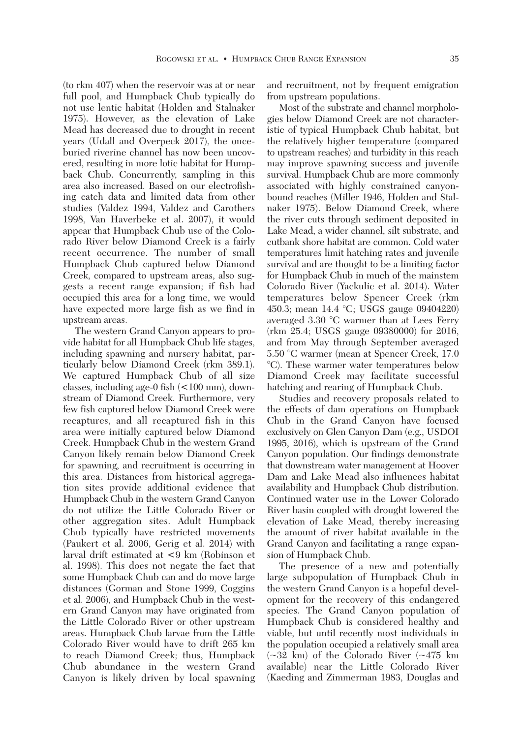(to rkm 407) when the reservoir was at or near full pool, and Humpback Chub typically do not use lentic habitat (Holden and Stalnaker 1975). However, as the elevation of Lake Mead has decreased due to drought in recent years (Udall and Overpeck 2017), the onceburied riverine channel has now been uncovered, resulting in more lotic habitat for Humpback Chub. Concurrently, sampling in this area also increased. Based on our electrofishing catch data and limited data from other studies (Valdez 1994, Valdez and Carothers 1998, Van Haverbeke et al. 2007), it would appear that Humpback Chub use of the Colorado River below Diamond Creek is a fairly recent occurrence. The number of small Humpback Chub captured below Diamond Creek, compared to upstream areas, also suggests a recent range expansion; if fish had occupied this area for a long time, we would have expected more large fish as we find in upstream areas.

 The western Grand Canyon appears to provide habitat for all Humpback Chub life stages, including spawning and nursery habitat, particularly below Diamond Creek (rkm 389.1). We captured Humpback Chub of all size classes, including age-0 fish (<100 mm), downstream of Diamond Creek. Furthermore, very few fish captured below Diamond Creek were recaptures, and all recaptured fish in this area were initially captured below Diamond Creek. Humpback Chub in the western Grand Canyon likely remain below Diamond Creek for spawning, and recruitment is occurring in this area. Distances from historical aggregation sites provide additional evidence that Humpback Chub in the western Grand Canyon do not utilize the Little Colorado River or other aggregation sites. Adult Humpback Chub typically have restricted movements (Paukert et al. 2006, Gerig et al. 2014) with larval drift estimated at <9 km (Robinson et al. 1998). This does not negate the fact that some Humpback Chub can and do move large distances (Gorman and Stone 1999, Coggins et al. 2006), and Humpback Chub in the western Grand Canyon may have originated from the Little Colorado River or other upstream areas. Humpback Chub larvae from the Little Colorado River would have to drift 265 km to reach Diamond Creek; thus, Humpback Chub abundance in the western Grand Canyon is likely driven by local spawning and recruitment, not by frequent emigration from upstream populations.

Most of the substrate and channel morphologies below Diamond Creek are not characteristic of typical Humpback Chub habitat, but the relatively higher temperature (compared to upstream reaches) and turbidity in this reach may improve spawning success and juvenile survival. Humpback Chub are more commonly associated with highly constrained canyonbound reaches (Miller 1946, Holden and Stalnaker 1975). Below Diamond Creek, where the river cuts through sediment deposited in Lake Mead, a wider channel, silt substrate, and cutbank shore habitat are common. Cold water temperatures limit hatching rates and juvenile survival and are thought to be a limiting factor for Humpback Chub in much of the mainstem Colorado River (Yackulic et al. 2014). Water temperatures below Spencer Creek (rkm 450.3; mean 14.4 °C; USGS gauge 09404220) averaged 3.30 °C warmer than at Lees Ferry (rkm 25.4; USGS gauge 09380000) for 2016, and from May through September averaged 5.50 °C warmer (mean at Spencer Creek, 17.0 °C). These warmer water temperatures below Diamond Creek may facilitate successful hatching and rearing of Humpback Chub.

 Studies and recovery proposals related to the effects of dam operations on Humpback Chub in the Grand Canyon have focused exclusively on Glen Canyon Dam (e.g., USDOI 1995, 2016), which is upstream of the Grand Canyon population. Our findings demonstrate that downstream water management at Hoover Dam and Lake Mead also influences habitat availability and Humpback Chub distribution. Continued water use in the Lower Colorado River basin coupled with drought lowered the elevation of Lake Mead, thereby increasing the amount of river habitat available in the Grand Canyon and facilitating a range expansion of Humpback Chub.

 The presence of a new and potentially large subpopulation of Humpback Chub in the western Grand Canyon is a hopeful development for the recovery of this endangered species. The Grand Canyon population of Humpback Chub is considered healthy and viable, but until recently most individuals in the population occupied a relatively small area  $(-32 \text{ km})$  of the Colorado River  $(-475 \text{ km})$ available) near the Little Colorado River (Kaeding and Zimmerman 1983, Douglas and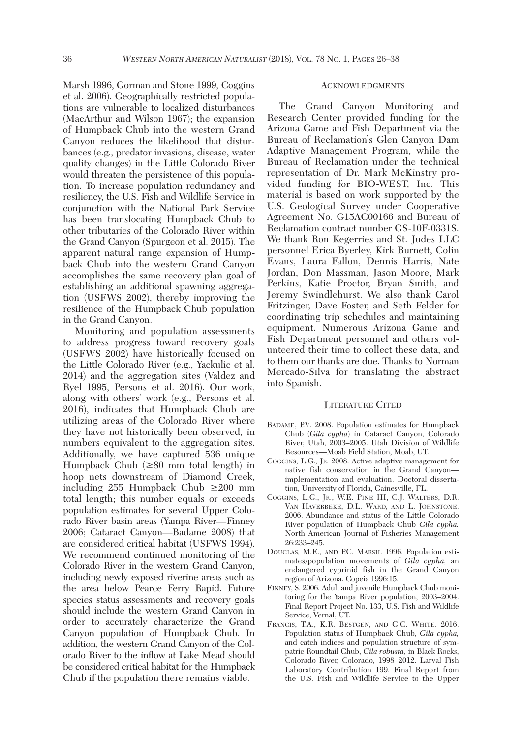Marsh 1996, Gorman and Stone 1999, Coggins et al. 2006). Geographically restricted populations are vulnerable to localized disturbances (MacArthur and Wilson 1967); the expansion of Humpback Chub into the western Grand Canyon reduces the likelihood that disturbances (e.g., predator invasions, disease, water quality changes) in the Little Colorado River would threaten the persistence of this population. To increase population redundancy and resiliency, the U.S. Fish and Wildlife Service in conjunction with the National Park Service has been translocating Humpback Chub to other tributaries of the Colorado River within the Grand Canyon (Spurgeon et al. 2015). The apparent natural range expansion of Humpback Chub into the western Grand Canyon accomplishes the same recovery plan goal of establishing an additional spawning aggregation (USFWS 2002), thereby improving the resilience of the Humpback Chub population in the Grand Canyon.

 Monitoring and population assessments to address progress toward recovery goals (USFWS 2002) have historically focused on the Little Colorado River (e.g., Yackulic et al. 2014) and the aggregation sites (Valdez and Ryel 1995, Persons et al. 2016). Our work, along with others' work (e.g., Persons et al. 2016), indicates that Humpback Chub are utilizing areas of the Colorado River where they have not historically been observed, in numbers equivalent to the aggregation sites. Additionally, we have captured 536 unique Humpback Chub (**≥**80 mm total length) in hoop nets downstream of Diamond Creek, including 255 Humpback Chub **≥**200 mm total length; this number equals or exceeds population estimates for several Upper Colorado River basin areas (Yampa River—Finney 2006; Cataract Canyon—Badame 2008) that are considered critical habitat (USFWS 1994). We recommend continued monitoring of the Colorado River in the western Grand Canyon, including newly exposed riverine areas such as the area below Pearce Ferry Rapid. Future species status assessments and recovery goals should include the western Grand Canyon in order to accurately characterize the Grand Canyon population of Humpback Chub. In addition, the western Grand Canyon of the Colorado River to the inflow at Lake Mead should be considered critical habitat for the Humpback Chub if the population there remains viable.

## ACKNOWLEDGMENTS

 The Grand Canyon Monitoring and Research Center provided funding for the Arizona Game and Fish Department via the Bureau of Reclamation's Glen Canyon Dam Adaptive Management Program, while the Bureau of Reclamation under the technical representation of Dr. Mark McKinstry provided funding for BIO-WEST, Inc. This material is based on work supported by the U.S. Geological Survey under Cooperative Agreement No. G15AC00166 and Bureau of Reclamation contract number GS-10F-0331S. We thank Ron Kegerries and St. Judes LLC personnel Erica Byerley, Kirk Burnett, Colin Evans, Laura Fallon, Dennis Harris, Nate Jordan, Don Massman, Jason Moore, Mark Perkins, Katie Proctor, Bryan Smith, and Jeremy Swindlehurst. We also thank Carol Fritzinger, Dave Foster, and Seth Felder for coordinating trip schedules and maintaining equipment. Numerous Arizona Game and Fish Department personnel and others volunteered their time to collect these data, and to them our thanks are due. Thanks to Norman Mercado-Silva for translating the abstract into Spanish.

#### LITERATURE CITED

- BADAME, P.V. 2008. Population estimates for Humpback Chub (*Gila cypha*) in Cataract Canyon, Colorado River, Utah, 2003–2005. Utah Division of Wildlife Resources—Moab Field Station, Moab, UT.
- COGGINS, L.G., JR. 2008. Active adaptive management for native fish conservation in the Grand Canyon implementation and evaluation. Doctoral dissertation, University of Florida, Gainesville, FL.
- COGGINS, L.G., JR., W.E. PINE III, C.J. WALTERS, D.R. VAN HAVERBEKE, D.L. WARD, AND L. JOHNSTONE. 2006. Abundance and status of the Little Colorado River population of Humpback Chub *Gila cypha.* North American Journal of Fisheries Management 26:233–245.
- DOUGLAS, M.E., AND P.C. MARSH. 1996. Population estimates/population movements of *Gila cypha,* an endangered cyprinid fish in the Grand Canyon region of Arizona. Copeia 1996:15.
- FINNEY, S. 2006. Adult and juvenile Humpback Chub monitoring for the Yampa River population, 2003–2004. Final Report Project No. 133, U.S. Fish and Wildlife Service, Vernal, UT.
- FRANCIS, T.A., K.R. BESTGEN, AND G.C. WHITE. 2016. Population status of Humpback Chub, *Gila cypha,* and catch indices and population structure of sympatric Roundtail Chub, *Gila robusta,* in Black Rocks, Colorado River, Colorado, 1998–2012. Larval Fish Laboratory Contribution 199. Final Report from the U.S. Fish and Wildlife Service to the Upper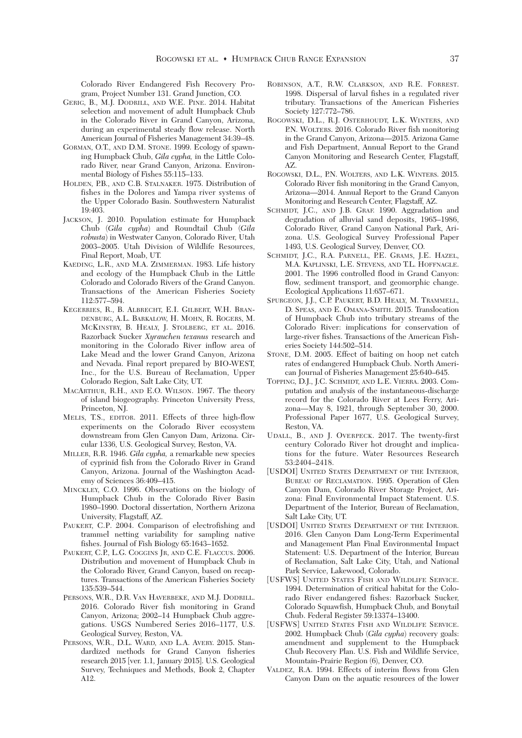Colorado River Endangered Fish Recovery Program, Project Number 131. Grand Junction, CO.

- GERIG, B., M.J. DODRILL, AND W.E. PINE. 2014. Habitat selection and movement of adult Humpback Chub in the Colorado River in Grand Canyon, Arizona, during an experimental steady flow release. North American Journal of Fisheries Management 34:39–48.
- GORMAN, O.T., AND D.M. STONE. 1999. Ecology of spawning Humpback Chub, *Gila cypha*, in the Little Colorado River, near Grand Canyon, Arizona. Environmental Biology of Fishes 55:115–133.
- HOLDEN, P.B., AND C.B. STALNAKER. 1975. Distribution of fishes in the Dolores and Yampa river systems of the Upper Colorado Basin. Southwestern Naturalist 19:403.
- JACKSON, J. 2010. Population estimate for Humpback Chub (*Gila cypha*) and Roundtail Chub (*Gila robusta*) in Westwater Canyon, Colorado River, Utah 2003–2005. Utah Division of Wildlife Resources, Final Report, Moab, UT.
- KAEDING, L.R., AND M.A. ZIMMERMAN. 1983. Life history and ecology of the Humpback Chub in the Little Colorado and Colorado Rivers of the Grand Canyon. Transactions of the American Fisheries Society 112:577–594.
- KEGERRIES, R., B. ALBRECHT, E.I. GILBERT, W.H. BRAN-DENBURG, A.L. BARKALOW, H. MOHN, R. ROGERS, M. MCKINSTRY, B. HEALY, J. STOLBERG, ET AL. 2016. Razorback Sucker *Xyrauchen texanus* research and monitoring in the Colorado River inflow area of Lake Mead and the lower Grand Canyon, Arizona and Nevada. Final report prepared by BIO-WEST, Inc., for the U.S. Bureau of Reclamation, Upper Colorado Region, Salt Lake City, UT.
- MACARTHUR, R.H., AND E.O. WILSON. 1967. The theory of island biogeography. Princeton University Press, Princeton, NJ.
- MELIS, T.S., EDITOR. 2011. Effects of three high-flow experiments on the Colorado River ecosystem downstream from Glen Canyon Dam, Arizona. Circular 1336, U.S. Geological Survey, Reston, VA.
- MILLER, R.R. 1946. *Gila cypha,* a remarkable new species of cyprinid fish from the Colorado River in Grand Canyon, Arizona. Journal of the Washington Academy of Sciences 36:409–415.
- MINCKLEY, C.O. 1996. Observations on the biology of Humpback Chub in the Colorado River Basin 1980–1990. Doctoral dissertation, Northern Arizona University, Flagstaff, AZ.
- PAUKERT, C.P. 2004. Comparison of electrofishing and trammel netting variability for sampling native fishes. Journal of Fish Biology 65:1643–1652.
- PAUKERT, C.P., L.G. COGGINS JR, AND C.E. FLACCUS. 2006. Distribution and movement of Humpback Chub in the Colorado River, Grand Canyon, based on recaptures. Transactions of the American Fisheries Society 135:539–544.
- PERSONS, W.R., D.R. VAN HAVERBEKE, AND M.J. DODRILL. 2016. Colorado River fish monitoring in Grand Canyon, Arizona; 2002–14 Humpback Chub aggregations. USGS Numbered Series 2016–1177, U.S. Geological Survey, Reston, VA.
- PERSONS, W.R., D.L. WARD, AND L.A. AVERY. 2015. Standardized methods for Grand Canyon fisheries research 2015 [ver. 1.1, January 2015]. U.S. Geological Survey, Techniques and Methods, Book 2, Chapter A12.
- ROBINSON, A.T., R.W. CLARKSON, AND R.E. FORREST. 1998. Dispersal of larval fishes in a regulated river tributary. Transactions of the American Fisheries Society 127:772–786.
- ROGOWSKI, D.L., R.J. OSTERHOUDT, L.K. WINTERS, AND P.N. WOLTERS. 2016. Colorado River fish monitoring in the Grand Canyon, Arizona—2015. Arizona Game and Fish Department, Annual Report to the Grand Canyon Monitoring and Research Center, Flagstaff, AZ.
- ROGOWSKI, D.L., P.N. WOLTERS, AND L.K. WINTERS. 2015. Colorado River fish monitoring in the Grand Canyon, Arizona—2014. Annual Report to the Grand Canyon Monitoring and Research Center, Flagstaff, AZ.
- SCHMIDT, J.C., AND J.B. GRAF. 1990. Aggradation and degradation of alluvial sand deposits, 1965–1986, Colorado River, Grand Canyon National Park, Arizona. U.S. Geological Survey Professional Paper 1493, U.S. Geological Survey, Denver, CO.
- SCHMIDT, J.C., R.A. PARNELL, P.E. GRAMS, J.E. HAZEL, M.A. KAPLINSKI, L.E. STEVENS, AND T.L. HOFFNAGLE. 2001. The 1996 controlled flood in Grand Canyon: flow, sediment transport, and geomorphic change. Ecological Applications 11:657–671.
- SPURGEON, J.J., C.P. PAUKERT, B.D. HEALY, M. TRAMMELL, D. SPEAS, AND E. OMANA-SMITH. 2015. Translocation of Humpback Chub into tributary streams of the Colorado River: implications for conservation of large-river fishes. Transactions of the American Fisheries Society 144:502–514.
- STONE, D.M. 2005. Effect of baiting on hoop net catch rates of endangered Humpback Chub. North American Journal of Fisheries Management 25:640–645.
- TOPPING, D.J., J.C. SCHMIDT, AND L.E. VIERRA. 2003. Computation and analysis of the instantaneous-discharge record for the Colorado River at Lees Ferry, Arizona—May 8, 1921, through September 30, 2000. Professional Paper 1677, U.S. Geological Survey, Reston, VA.
- UDALL, B., AND J. OVERPECK. 2017. The twenty-first century Colorado River hot drought and implications for the future. Water Resources Research 53:2404–2418.
- [USDOI] UNITED STATES DEPARTMENT OF THE INTERIOR, BUREAU OF RECLAMATION. 1995. Operation of Glen Canyon Dam, Colorado River Storage Project, Arizona: Final Environmental Impact Statement. U.S. Department of the Interior, Bureau of Reclamation, Salt Lake City, UT.
- [USDOI] UNITED STATES DEPARTMENT OF THE INTERIOR. 2016. Glen Canyon Dam Long-Term Experimental and Management Plan Final Environmental Impact Statement: U.S. Department of the Interior, Bureau of Reclamation, Salt Lake City, Utah, and National Park Service, Lakewood, Colorado.
- [USFWS] UNITED STATES FISH AND WILDLIFE SERVICE. 1994. Determination of critical habitat for the Colorado River endangered fishes: Razorback Sucker, Colorado Squawfish, Humpback Chub, and Bonytail Chub. Federal Register 59:13374–13400.
- [USFWS] UNITED STATES FISH AND WILDLIFE SERVICE. 2002. Humpback Chub (*Gila cypha*) recovery goals: amendment and supplement to the Humpback Chub Recovery Plan. U.S. Fish and Wildlife Service, Mountain-Prairie Region (6), Denver, CO.
- VALDEZ, R.A. 1994. Effects of interim flows from Glen Canyon Dam on the aquatic resources of the lower